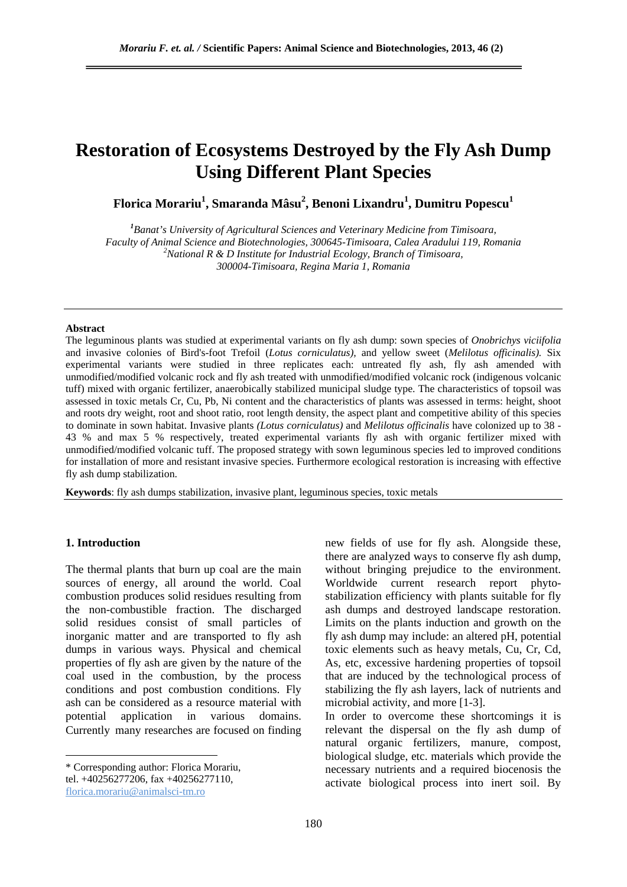# **Restoration of Ecosystems Destroyed by the Fly Ash Dump Using Different Plant Species**

 $\bold{F}$ lorica Morariu $^1$ , Smaranda Mâsu $^2$ , Benoni Lixandru $^1$ , Dumitru Popescu $^1$ 

*1 Banat's University of Agricultural Sciences and Veterinary Medicine from Timisoara, Faculty of Animal Science and Biotechnologies, 300645-Timisoara, Calea Aradului 119, Romania 2 National R & D Institute for Industrial Ecology, Branch of Timisoara, 300004-Timisoara, Regina Maria 1, Romania* 

#### **Abstract**

The leguminous plants was studied at experimental variants on fly ash dump: sown species of *Onobrichys viciifolia*  and invasive colonies of Bird's-foot Trefoil (*Lotus corniculatus),* and yellow sweet (*Melilotus officinalis).* Six experimental variants were studied in three replicates each: untreated fly ash, fly ash amended with unmodified/modified volcanic rock and fly ash treated with unmodified/modified volcanic rock (indigenous volcanic tuff) mixed with organic fertilizer, anaerobically stabilized municipal sludge type. The characteristics of topsoil was assessed in toxic metals Cr, Cu, Pb, Ni content and the characteristics of plants was assessed in terms: height, shoot and roots dry weight, root and shoot ratio, root length density, the aspect plant and competitive ability of this species to dominate in sown habitat. Invasive plants *(Lotus corniculatus)* and *Melilotus officinalis* have colonized up to 38 - 43 % and max 5 % respectively, treated experimental variants fly ash with organic fertilizer mixed with unmodified/modified volcanic tuff. The proposed strategy with sown leguminous species led to improved conditions for installation of more and resistant invasive species. Furthermore ecological restoration is increasing with effective fly ash dump stabilization.

**Keywords**: fly ash dumps stabilization, invasive plant, leguminous species, toxic metals

### **1. Introduction**

 $\overline{a}$ 

The thermal plants that burn up coal are the main sources of energy, all around the world. Coal combustion produces solid residues resulting from the non-combustible fraction. The discharged solid residues consist of small particles of inorganic matter and are transported to fly ash dumps in various ways. Physical and chemical properties of fly ash are given by the nature of the coal used in the combustion, by the process conditions and post combustion conditions. Fly ash can be considered as a resource material with potential application in various domains. Currently many researches are focused on finding

tel. +40256277206, fax +40256277110, florica.morariu@animalsci-tm.ro

new fields of use for fly ash. Alongside these, there are analyzed ways to conserve fly ash dump, without bringing prejudice to the environment. Worldwide current research report phytostabilization efficiency with plants suitable for fly ash dumps and destroyed landscape restoration. Limits on the plants induction and growth on the fly ash dump may include: an altered pH, potential toxic elements such as heavy metals, Cu, Cr, Cd, As, etc, excessive hardening properties of topsoil that are induced by the technological process of stabilizing the fly ash layers, lack of nutrients and microbial activity, and more [1-3].

In order to overcome these shortcomings it is relevant the dispersal on the fly ash dump of natural organic fertilizers, manure, compost, biological sludge, etc. materials which provide the necessary nutrients and a required biocenosis the activate biological process into inert soil. By

<sup>\*</sup> Corresponding author: Florica Morariu,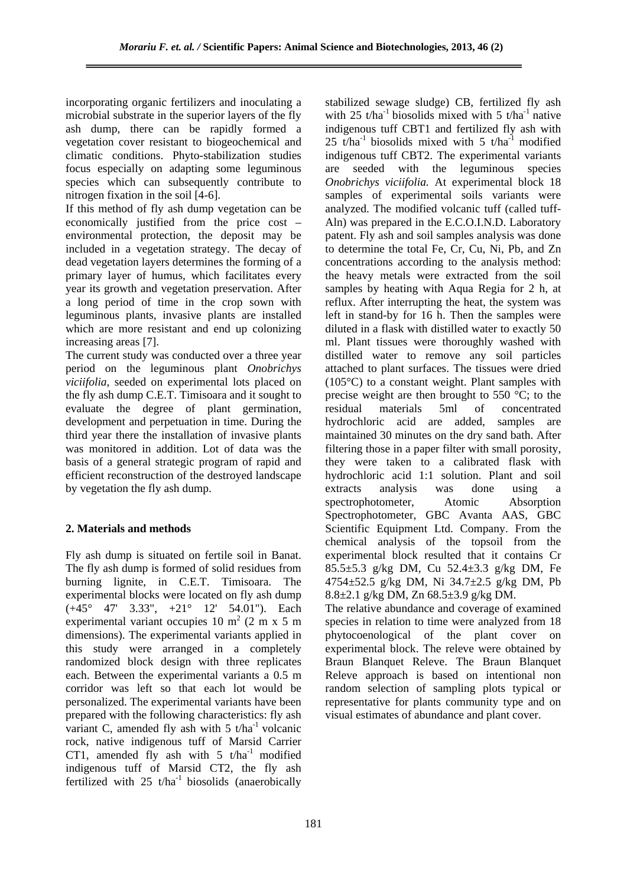incorporating organic fertilizers and inoculating a microbial substrate in the superior layers of the fly ash dump, there can be rapidly formed a vegetation cover resistant to biogeochemical and climatic conditions. Phyto-stabilization studies focus especially on adapting some leguminous species which can subsequently contribute to nitrogen fixation in the soil [4-6].

If this method of fly ash dump vegetation can be economically justified from the price cost – environmental protection, the deposit may be included in a vegetation strategy. The decay of dead vegetation layers determines the forming of a primary layer of humus, which facilitates every year its growth and vegetation preservation. After a long period of time in the crop sown with leguminous plants, invasive plants are installed which are more resistant and end up colonizing increasing areas [7].

The current study was conducted over a three year period on the leguminous plant *Onobrichys viciifolia*, seeded on experimental lots placed on the fly ash dump C.E.T. Timisoara and it sought to evaluate the degree of plant germination, development and perpetuation in time. During the third year there the installation of invasive plants was monitored in addition. Lot of data was the basis of a general strategic program of rapid and efficient reconstruction of the destroyed landscape by vegetation the fly ash dump.

# **2. Materials and methods**

Fly ash dump is situated on fertile soil in Banat. The fly ash dump is formed of solid residues from burning lignite, in C.E.T. Timisoara. The experimental blocks were located on fly ash dump (+45° 47' 3.33", +21° 12' 54.01"). Each experimental variant occupies 10  $m<sup>2</sup>$  (2 m x 5 m dimensions). The experimental variants applied in this study were arranged in a completely randomized block design with three replicates each. Between the experimental variants a 0.5 m corridor was left so that each lot would be personalized. The experimental variants have been prepared with the following characteristics: fly ash variant C, amended fly ash with  $5$  t/ha<sup>-1</sup> volcanic rock, native indigenous tuff of Marsid Carrier CT1, amended fly ash with  $5$  t/ha<sup>-1</sup> modified indigenous tuff of Marsid CT2, the fly ash fertilized with  $25$  t/ha<sup>-1</sup> biosolids (anaerobically

stabilized sewage sludge) CB, fertilized fly ash with 25 t/ha<sup>-1</sup> biosolids mixed with 5 t/ha<sup>-1</sup> native indigenous tuff CBT1 and fertilized fly ash with 25 t/ha<sup>-1</sup> biosolids mixed with 5 t/ha<sup>-1</sup> modified indigenous tuff CBT2. The experimental variants are seeded with the leguminous species *Onobrichys viciifolia.* At experimental block 18 samples of experimental soils variants were analyzed. The modified volcanic tuff (called tuff-Aln) was prepared in the E.C.O.I.N.D. Laboratory patent. Fly ash and soil samples analysis was done to determine the total Fe, Cr, Cu, Ni, Pb, and Zn concentrations according to the analysis method: the heavy metals were extracted from the soil samples by heating with Aqua Regia for 2 h, at reflux. After interrupting the heat, the system was left in stand-by for 16 h. Then the samples were diluted in a flask with distilled water to exactly 50 ml. Plant tissues were thoroughly washed with distilled water to remove any soil particles attached to plant surfaces. The tissues were dried (105°C) to a constant weight. Plant samples with precise weight are then brought to 550 °C; to the residual materials 5ml of concentrated hydrochloric acid are added, samples are maintained 30 minutes on the dry sand bath. After filtering those in a paper filter with small porosity, they were taken to a calibrated flask with hydrochloric acid 1:1 solution. Plant and soil extracts analysis was done using a spectrophotometer, Atomic Absorption Spectrophotometer, GBC Avanta AAS, GBC Scientific Equipment Ltd. Company. From the chemical analysis of the topsoil from the experimental block resulted that it contains Cr 85.5±5.3 g/kg DM, Cu 52.4±3.3 g/kg DM, Fe 4754±52.5 g/kg DM, Ni 34.7±2.5 g/kg DM, Pb 8.8±2.1 g/kg DM, Zn 68.5±3.9 g/kg DM.

The relative abundance and coverage of examined species in relation to time were analyzed from 18 phytocoenological of the plant cover on experimental block. The releve were obtained by Braun Blanquet Releve. The Braun Blanquet Releve approach is based on intentional non random selection of sampling plots typical or representative for plants community type and on visual estimates of abundance and plant cover.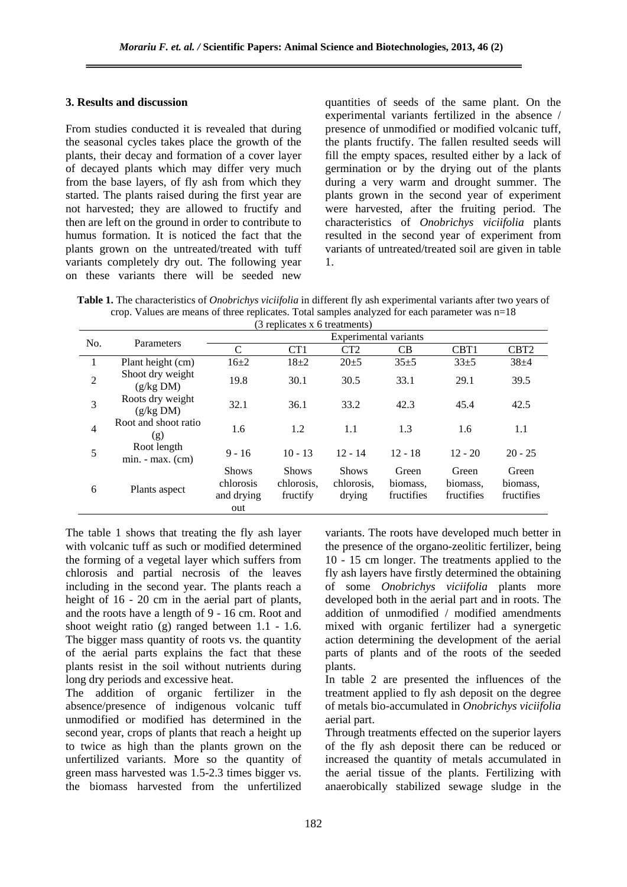# **3. Results and discussion**

From studies conducted it is revealed that during the seasonal cycles takes place the growth of the plants, their decay and formation of a cover layer of decayed plants which may differ very much from the base layers, of fly ash from which they started. The plants raised during the first year are not harvested; they are allowed to fructify and then are left on the ground in order to contribute to humus formation. It is noticed the fact that the plants grown on the untreated/treated with tuff variants completely dry out. The following year on these variants there will be seeded new

quantities of seeds of the same plant. On the experimental variants fertilized in the absence / presence of unmodified or modified volcanic tuff, the plants fructify. The fallen resulted seeds will fill the empty spaces, resulted either by a lack of germination or by the drying out of the plants during a very warm and drought summer. The plants grown in the second year of experiment were harvested, after the fruiting period. The characteristics of *Onobrichys viciifolia* plants resulted in the second year of experiment from variants of untreated/treated soil are given in table 1.

**Table 1.** The characteristics of *Onobrichys viciifolia* in different fly ash experimental variants after two years of crop. Values are means of three replicates. Total samples analyzed for each parameter was n=18

| (3 replicates x 6 treatments) |                                   |                                                |                                        |                                      |                                 |                                 |                                 |  |
|-------------------------------|-----------------------------------|------------------------------------------------|----------------------------------------|--------------------------------------|---------------------------------|---------------------------------|---------------------------------|--|
| No.                           | Parameters                        | Experimental variants                          |                                        |                                      |                                 |                                 |                                 |  |
|                               |                                   | C                                              | CT <sub>1</sub>                        | CT <sub>2</sub>                      | CB                              | CBT <sub>1</sub>                | CBT <sub>2</sub>                |  |
| 1                             | Plant height (cm)                 | $16\pm 2$                                      | $18+2$                                 | $20 \pm 5$                           | $35+5$                          | $33+5$                          | $38 + 4$                        |  |
| $\overline{2}$                | Shoot dry weight<br>(g/kg DM)     | 19.8                                           | 30.1                                   | 30.5                                 | 33.1                            | 29.1                            | 39.5                            |  |
| 3                             | Roots dry weight<br>(g/kg DM)     | 32.1                                           | 36.1                                   | 33.2                                 | 42.3                            | 45.4                            | 42.5                            |  |
| $\overline{4}$                | Root and shoot ratio<br>(g)       | 1.6                                            | 1.2                                    | 1.1                                  | 1.3                             | 1.6                             | 1.1                             |  |
| 5                             | Root length<br>$min. - max. (cm)$ | $9 - 16$                                       | $10 - 13$                              | $12 - 14$                            | $12 - 18$                       | $12 - 20$                       | $20 - 25$                       |  |
| 6                             | Plants aspect                     | <b>Shows</b><br>chlorosis<br>and drying<br>out | <b>Shows</b><br>chlorosis,<br>fructify | <b>Shows</b><br>chlorosis.<br>drying | Green<br>biomass.<br>fructifies | Green<br>biomass.<br>fructifies | Green<br>biomass.<br>fructifies |  |

The table 1 shows that treating the fly ash layer with volcanic tuff as such or modified determined the forming of a vegetal layer which suffers from chlorosis and partial necrosis of the leaves including in the second year. The plants reach a height of  $16 - 20$  cm in the aerial part of plants, and the roots have a length of 9 - 16 cm. Root and shoot weight ratio (g) ranged between 1.1 - 1.6. The bigger mass quantity of roots vs. the quantity of the aerial parts explains the fact that these plants resist in the soil without nutrients during long dry periods and excessive heat.

The addition of organic fertilizer in the absence/presence of indigenous volcanic tuff unmodified or modified has determined in the second year, crops of plants that reach a height up to twice as high than the plants grown on the unfertilized variants. More so the quantity of green mass harvested was 1.5-2.3 times bigger vs. the biomass harvested from the unfertilized

variants. The roots have developed much better in the presence of the organo-zeolitic fertilizer, being 10 - 15 cm longer. The treatments applied to the fly ash layers have firstly determined the obtaining of some *Onobrichys viciifolia* plants more developed both in the aerial part and in roots. The addition of unmodified / modified amendments mixed with organic fertilizer had a synergetic action determining the development of the aerial parts of plants and of the roots of the seeded plants.

In table 2 are presented the influences of the treatment applied to fly ash deposit on the degree of metals bio-accumulated in *Onobrichys viciifolia* aerial part.

Through treatments effected on the superior layers of the fly ash deposit there can be reduced or increased the quantity of metals accumulated in the aerial tissue of the plants. Fertilizing with anaerobically stabilized sewage sludge in the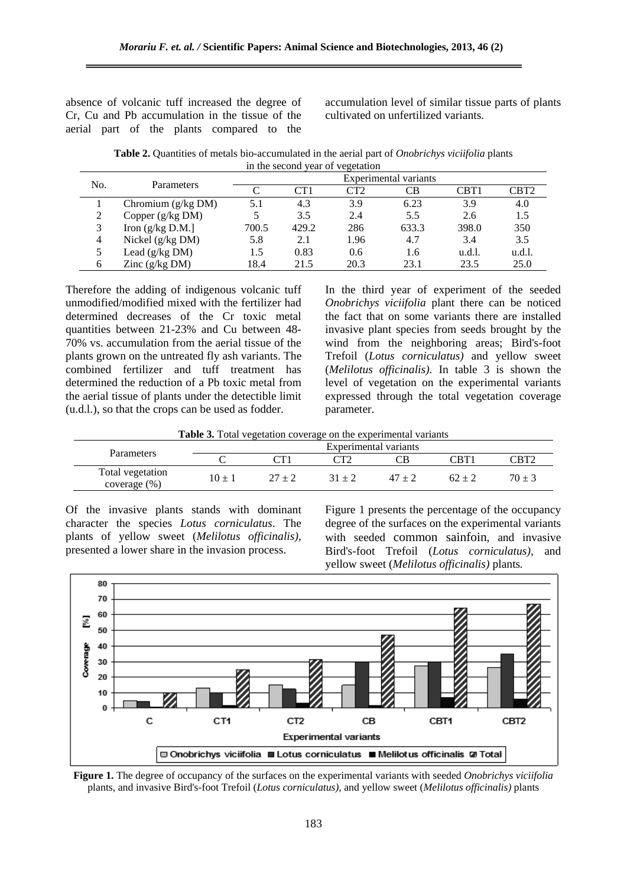absence of volcanic tuff increased the degree of Cr, Cu and Pb accumulation in the tissue of the aerial part of the plants compared to the

accumulation level of similar tissue parts of plants cultivated on unfertilized variants.

**Table 2.** Quantities of metals bio-accumulated in the aerial part of *Onobrichys viciifolia* plants in the second year of vegetation

| No. | Parameters           | Experimental variants |                 |      |       |        |                  |  |
|-----|----------------------|-----------------------|-----------------|------|-------|--------|------------------|--|
|     |                      |                       | CT <sub>1</sub> | CT2  | CВ    | CBT1   | CBT <sub>2</sub> |  |
|     | Chromium $(g/kg DM)$ | 5.1                   | 4.3             | 3.9  | 6.23  | 3.9    | 4.0              |  |
|     | Copper $(g/kg DM)$   | 5                     | 3.5             | 2.4  | 5.5   | 2.6    | 1.5              |  |
|     | Iron $(g/kg D.M.]$   | 700.5                 | 429.2           | 286  | 633.3 | 398.0  | 350              |  |
| 4   | Nickel $(g/kg DM)$   | 5.8                   | 2.1             | 1.96 | 4.7   | 3.4    | 3.5              |  |
|     | Lead $(g/kg DM)$     | 1.5                   | 0.83            | 0.6  | 1.6   | u.d.l. | u.d.l.           |  |
| 6   | Zinc $(g/kg DM)$     | 18.4                  | 21.5            | 20.3 | 23.1  | 23.5   | 25.0             |  |

Therefore the adding of indigenous volcanic tuff unmodified/modified mixed with the fertilizer had determined decreases of the Cr toxic metal quantities between 21-23% and Cu between 48- 70% vs. accumulation from the aerial tissue of the plants grown on the untreated fly ash variants. The combined fertilizer and tuff treatment has determined the reduction of a Pb toxic metal from the aerial tissue of plants under the detectible limit (u.d.l.), so that the crops can be used as fodder.

In the third year of experiment of the seeded *Onobrichys viciifolia* plant there can be noticed the fact that on some variants there are installed invasive plant species from seeds brought by the wind from the neighboring areas; Bird's-foot Trefoil (*Lotus corniculatus)* and yellow sweet (*Melilotus officinalis).* In table 3 is shown the level of vegetation on the experimental variants expressed through the total vegetation coverage parameter.

**Table 3.** Total vegetation coverage on the experimental variants

|                                  | Experimental variants |  |          |          |                     |            |  |
|----------------------------------|-----------------------|--|----------|----------|---------------------|------------|--|
| <b>Parameters</b>                |                       |  |          |          | $^\circ\mathrm{RT}$ |            |  |
| Total vegetation<br>coverage (%) | $10 \pm 1$            |  | $21 + 2$ | $17 + 7$ |                     | $70 \pm 3$ |  |

Of the invasive plants stands with dominant character the species *Lotus corniculatus*. The plants of yellow sweet (*Melilotus officinalis)*, presented a lower share in the invasion process.

Figure 1 presents the percentage of the occupancy degree of the surfaces on the experimental variants with seeded common sainfoin, and invasive Bird's-foot Trefoil (*Lotus corniculatus),* and yellow sweet (*Melilotus officinalis)* plants*.*



**Figure 1.** The degree of occupancy of the surfaces on the experimental variants with seeded *Onobrichys viciifolia* plants, and invasive Bird's-foot Trefoil (*Lotus corniculatus),* and yellow sweet (*Melilotus officinalis)* plants